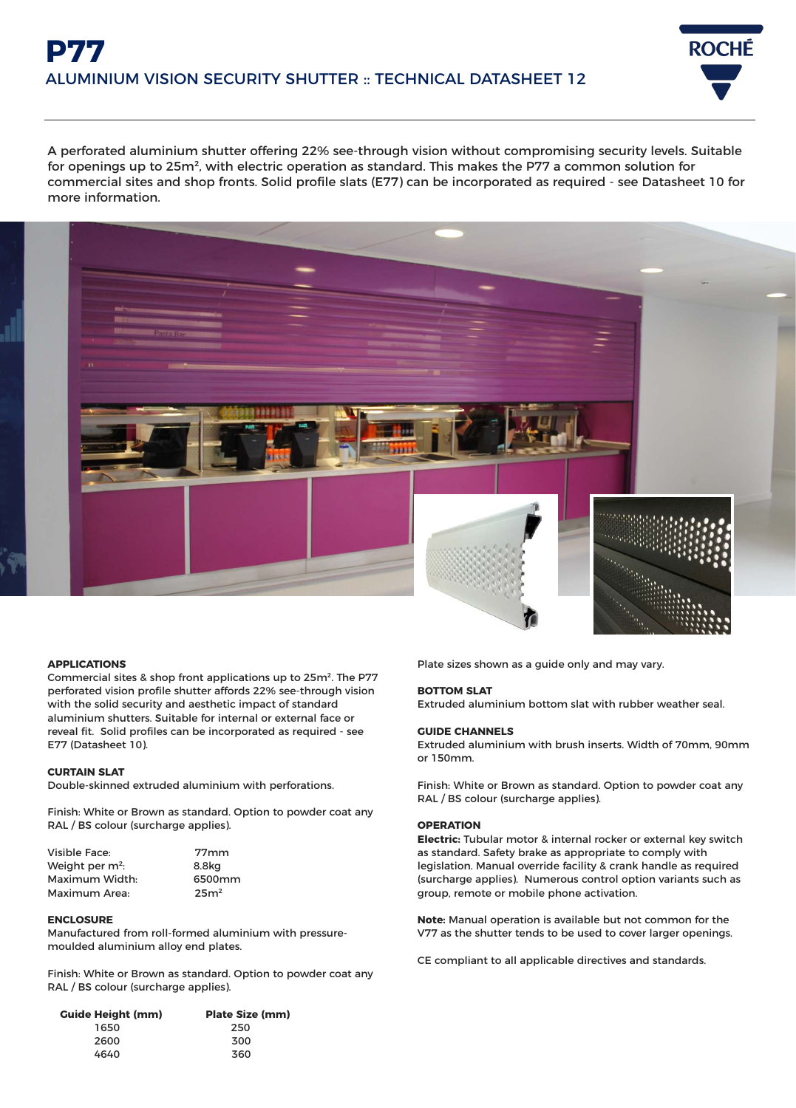# **P77** ALUMINIUM VISION SECURITY SHUTTER :: TECHNICAL DATASHEET 12



A perforated aluminium shutter offering 22% see-through vision without compromising security levels. Suitable for openings up to 25m², with electric operation as standard. This makes the P77 a common solution for commercial sites and shop fronts. Solid profile slats (E77) can be incorporated as required - see Datasheet 10 for more information.



#### **APPLICATIONS**

Commercial sites & shop front applications up to 25m². The P77 perforated vision profile shutter affords 22% see-through vision with the solid security and aesthetic impact of standard aluminium shutters. Suitable for internal or external face or reveal fit. Solid profiles can be incorporated as required - see E77 (Datasheet 10).

#### **CURTAIN SLAT**

Double-skinned extruded aluminium with perforations.

Finish: White or Brown as standard. Option to powder coat any RAL / BS colour (surcharge applies).

| Visible Face:               | 77 <sub>mm</sub> |
|-----------------------------|------------------|
| Weight per m <sup>2</sup> : | 8.8kg            |
| Maximum Width:              | 6500mm           |
| Maximum Area:               | 25m <sup>2</sup> |

#### **ENCLOSURE**

Manufactured from roll-formed aluminium with pressuremoulded aluminium alloy end plates.

Finish: White or Brown as standard. Option to powder coat any RAL / BS colour (surcharge applies).

| <b>Guide Height (mm)</b> | <b>Plate Size (mm)</b> |
|--------------------------|------------------------|
| 1650                     | 250                    |
| 2600                     | 300                    |
| 4640                     | 360                    |

Plate sizes shown as a guide only and may vary.

#### **BOTTOM SLAT**

Extruded aluminium bottom slat with rubber weather seal.

#### **GUIDE CHANNELS**

Extruded aluminium with brush inserts. Width of 70mm, 90mm or 150mm.

Finish: White or Brown as standard. Option to powder coat any RAL / BS colour (surcharge applies).

#### **OPERATION**

**Electric:** Tubular motor & internal rocker or external key switch as standard. Safety brake as appropriate to comply with legislation. Manual override facility & crank handle as required (surcharge applies). Numerous control option variants such as group, remote or mobile phone activation.

**Note:** Manual operation is available but not common for the V77 as the shutter tends to be used to cover larger openings.

CE compliant to all applicable directives and standards.